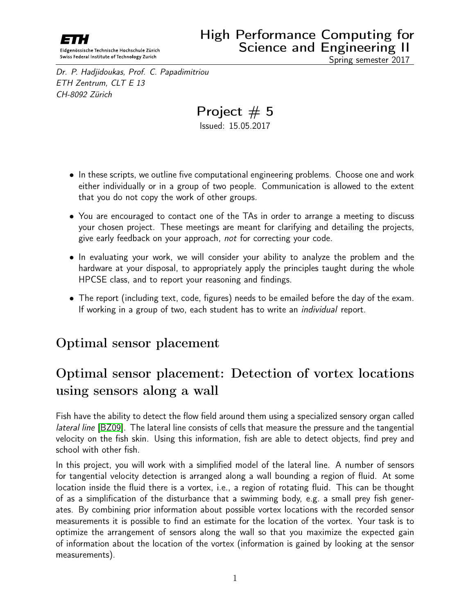<span id="page-0-0"></span>

Dr. P. Hadjidoukas, Prof. C. Papadimitriou ETH Zentrum, CLT E 13 CH-8092 Zürich

Project  $# 5$ 

Issued: 15.05.2017

- In these scripts, we outline five computational engineering problems. Choose one and work either individually or in a group of two people. Communication is allowed to the extent that you do not copy the work of other groups.
- You are encouraged to contact one of the TAs in order to arrange a meeting to discuss your chosen project. These meetings are meant for clarifying and detailing the projects, give early feedback on your approach, not for correcting your code.
- In evaluating your work, we will consider your ability to analyze the problem and the hardware at your disposal, to appropriately apply the principles taught during the whole HPCSE class, and to report your reasoning and findings.
- The report (including text, code, figures) needs to be emailed before the day of the exam. If working in a group of two, each student has to write an *individual* report.

## Optimal sensor placement

# Optimal sensor placement: Detection of vortex locations using sensors along a wall

Fish have the ability to detect the flow field around them using a specialized sensory organ called lateral line [\[BZ09\]](#page-5-0). The lateral line consists of cells that measure the pressure and the tangential velocity on the fish skin. Using this information, fish are able to detect objects, find prey and school with other fish.

In this project, you will work with a simplified model of the lateral line. A number of sensors for tangential velocity detection is arranged along a wall bounding a region of fluid. At some location inside the fluid there is a vortex, i.e., a region of rotating fluid. This can be thought of as a simplification of the disturbance that a swimming body, e.g. a small prey fish generates. By combining prior information about possible vortex locations with the recorded sensor measurements it is possible to find an estimate for the location of the vortex. Your task is to optimize the arrangement of sensors along the wall so that you maximize the expected gain of information about the location of the vortex (information is gained by looking at the sensor measurements).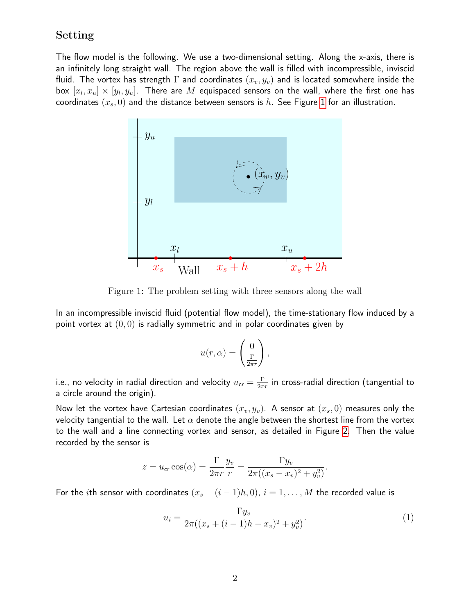#### Setting

The flow model is the following. We use a two-dimensional setting. Along the x-axis, there is an infinitely long straight wall. The region above the wall is filled with incompressible, inviscid fluid. The vortex has strength  $\Gamma$  and coordinates  $(x_v, y_v)$  and is located somewhere inside the box  $[x_l,x_u]\times[y_l,y_u]$ . There are  $M$  equispaced sensors on the wall, where the first one has coordinates  $(x_s, 0)$  and the distance between sensors is h. See Figure [1](#page-1-0) for an illustration.



<span id="page-1-0"></span>Figure 1: The problem setting with three sensors along the wall

In an incompressible inviscid fluid (potential flow model), the time-stationary flow induced by a point vortex at  $(0, 0)$  is radially symmetric and in polar coordinates given by

$$
u(r,\alpha) = \begin{pmatrix} 0 \\ \frac{\Gamma}{2\pi r} \end{pmatrix},\,
$$

i.e., no velocity in radial direction and velocity  $u_{\mathsf{cr}}=\frac{\Gamma}{2\pi}$  $\frac{1}{2\pi r}$  in cross-radial direction (tangential to a circle around the origin).

Now let the vortex have Cartesian coordinates  $(x_v, y_v)$ . A sensor at  $(x_s, 0)$  measures only the velocity tangential to the wall. Let  $\alpha$  denote the angle between the shortest line from the vortex to the wall and a line connecting vortex and sensor, as detailed in Figure [2.](#page-2-0) Then the value recorded by the sensor is

$$
z = u_{\rm cr} \cos(\alpha) = \frac{\Gamma}{2\pi r} \frac{y_v}{r} = \frac{\Gamma y_v}{2\pi ((x_s - x_v)^2 + y_v^2)}.
$$

For the *i*th sensor with coordinates  $(x_s + (i - 1)h, 0)$ ,  $i = 1, ..., M$  the recorded value is

<span id="page-1-1"></span>
$$
u_i = \frac{\Gamma y_v}{2\pi((x_s + (i-1)h - x_v)^2 + y_v^2)}.
$$
\n(1)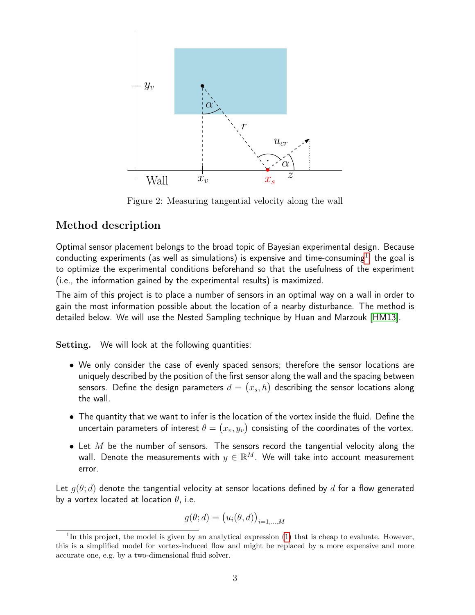

<span id="page-2-0"></span>Figure 2: Measuring tangential velocity along the wall

#### Method description

Optimal sensor placement belongs to the broad topic of Bayesian experimental design. Because conducting experiments (as well as simulations) is expensive and time-consuming<sup>[1](#page-0-0)</sup>, the goal is to optimize the experimental conditions beforehand so that the usefulness of the experiment (i.e., the information gained by the experimental results) is maximized.

The aim of this project is to place a number of sensors in an optimal way on a wall in order to gain the most information possible about the location of a nearby disturbance. The method is detailed below. We will use the Nested Sampling technique by Huan and Marzouk [\[HM13\]](#page-5-1).

Setting. We will look at the following quantities:

- We only consider the case of evenly spaced sensors; therefore the sensor locations are uniquely described by the position of the first sensor along the wall and the spacing between sensors. Define the design parameters  $d = \left(x_s, h\right)$  describing the sensor locations along the wall.
- The quantity that we want to infer is the location of the vortex inside the fluid. Define the uncertain parameters of interest  $\theta = (x_v, y_v)$  consisting of the coordinates of the vortex.
- Let M be the number of sensors. The sensors record the tangential velocity along the wall. Denote the measurements with  $y \in \mathbb{R}^M$ . We will take into account measurement error.

Let  $g(\theta; d)$  denote the tangential velocity at sensor locations defined by d for a flow generated by a vortex located at location  $\theta$ , i.e.

$$
g(\theta; d) = (u_i(\theta, d))_{i=1,\dots,M}
$$

<sup>&</sup>lt;sup>1</sup>In this project, the model is given by an analytical expression  $(1)$  that is cheap to evaluate. However, this is a simplified model for vortex-induced flow and might be replaced by a more expensive and more accurate one, e.g. by a two-dimensional fluid solver.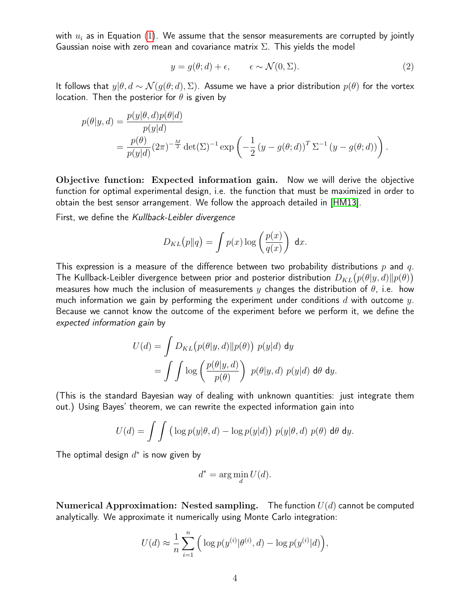with  $u_i$  as in Equation [\(1\)](#page-1-1). We assume that the sensor measurements are corrupted by jointly Gaussian noise with zero mean and covariance matrix  $\Sigma$ . This yields the model

<span id="page-3-0"></span>
$$
y = g(\theta; d) + \epsilon, \qquad \epsilon \sim \mathcal{N}(0, \Sigma). \tag{2}
$$

It follows that  $y|\theta, d \sim \mathcal{N}(g(\theta; d), \Sigma)$ . Assume we have a prior distribution  $p(\theta)$  for the vortex location. Then the posterior for  $\theta$  is given by

$$
p(\theta|y, d) = \frac{p(y|\theta, d)p(\theta|d)}{p(y|d)}
$$
  
= 
$$
\frac{p(\theta)}{p(y|d)} (2\pi)^{-\frac{M}{2}} \det(\Sigma)^{-1} \exp\left(-\frac{1}{2} (y - g(\theta; d))^T \Sigma^{-1} (y - g(\theta; d))\right).
$$

Objective function: Expected information gain. Now we will derive the objective function for optimal experimental design, i.e. the function that must be maximized in order to obtain the best sensor arrangement. We follow the approach detailed in [\[HM13\]](#page-5-1).

First, we define the Kullback-Leibler divergence

$$
D_{KL}(p||q) = \int p(x) \log \left(\frac{p(x)}{q(x)}\right) dx.
$$

This expression is a measure of the difference between two probability distributions  $p$  and  $q$ . The Kullback-Leibler divergence between prior and posterior distribution  $D_{KL}\big(p(\theta|y,d) \| p(\theta)\big)$ measures how much the inclusion of measurements y changes the distribution of  $\theta$ , i.e. how much information we gain by performing the experiment under conditions d with outcome y. Because we cannot know the outcome of the experiment before we perform it, we define the expected information gain by

$$
U(d) = \int D_{KL}(p(\theta|y, d) \| p(\theta)) p(y|d) dy
$$
  
= 
$$
\int \int \log \left( \frac{p(\theta|y, d)}{p(\theta)} \right) p(\theta|y, d) p(y|d) d\theta dy.
$$

(This is the standard Bayesian way of dealing with unknown quantities: just integrate them out.) Using Bayes' theorem, we can rewrite the expected information gain into

$$
U(d) = \int \int \left( \log p(y|\theta, d) - \log p(y|d) \right) p(y|\theta, d) p(\theta) d\theta dy.
$$

The optimal design  $d^*$  is now given by

$$
d^* = \arg\min_d U(d).
$$

Numerical Approximation: Nested sampling. The function  $U(d)$  cannot be computed analytically. We approximate it numerically using Monte Carlo integration:

$$
U(d) \approx \frac{1}{n} \sum_{i=1}^{n} \left( \log p(y^{(i)} | \theta^{(i)}, d) - \log p(y^{(i)} | d) \right),
$$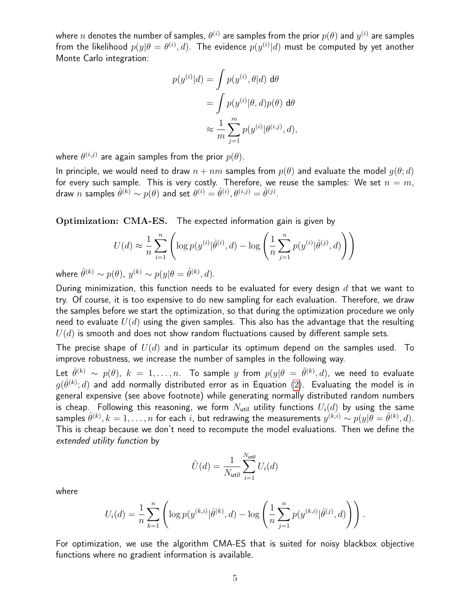where  $n$  denotes the number of samples,  $\theta^{(i)}$  are samples from the prior  $p(\theta)$  and  $y^{(i)}$  are samples from the likelihood  $p(y|\theta=\theta^{(i)},d)$ . The evidence  $p(y^{(i)}|d)$  must be computed by yet another Monte Carlo integration:

$$
p(y^{(i)}|d) = \int p(y^{(i)}, \theta|d) d\theta
$$
  
= 
$$
\int p(y^{(i)}|\theta, d)p(\theta) d\theta
$$
  

$$
\approx \frac{1}{m} \sum_{j=1}^{m} p(y^{(i)}|\theta^{(i,j)}, d),
$$

where  $\theta^{(i,j)}$  are again samples from the prior  $p(\theta).$ 

In principle, we would need to draw  $n + nm$  samples from  $p(\theta)$  and evaluate the model  $q(\theta; d)$ for every such sample. This is very costly. Therefore, we reuse the samples: We set  $n = m$ , draw  $n$  samples  $\hat{\theta}^{(k)} \sim p(\theta)$  and set  $\theta^{(i)} = \hat{\theta}^{(i)}, \theta^{(i,j)} = \hat{\theta}^{(j)}.$ 

Optimization: CMA-ES. The expected information gain is given by

$$
U(d) \approx \frac{1}{n} \sum_{i=1}^{n} \left( \log p(y^{(i)} | \hat{\theta}^{(i)}, d) - \log \left( \frac{1}{n} \sum_{j=1}^{n} p(y^{(i)} | \hat{\theta}^{(j)}, d) \right) \right)
$$

where  $\hat{\theta}^{(k)} \sim p(\theta), y^{(k)} \sim p(y|\theta = \hat{\theta}^{(k)}, d)$ .

During minimization, this function needs to be evaluated for every design  $d$  that we want to try. Of course, it is too expensive to do new sampling for each evaluation. Therefore, we draw the samples before we start the optimization, so that during the optimization procedure we only need to evaluate  $U(d)$  using the given samples. This also has the advantage that the resulting  $U(d)$  is smooth and does not show random fluctuations caused by different sample sets.

The precise shape of  $U(d)$  and in particular its optimum depend on the samples used. To improve robustness, we increase the number of samples in the following way.

Let  $\hat{\theta}^{(k)} \, \sim \, p(\theta), \,\, k \, = \, 1, \ldots, n.$  To sample  $y$  from  $p(y|\theta \, = \, \hat{\theta}^{(k)}, d)$ , we need to evaluate  $g(\hat{\theta}^{(k)};d)$  and add normally distributed error as in Equation [\(2\)](#page-3-0). Evaluating the model is in general expensive (see above footnote) while generating normally distributed random numbers is cheap. Following this reasoning, we form  $N_{\text{util}}$  utility functions  $U_i(d)$  by using the same samples  $\hat{\theta}^{(k)}, k=1,\ldots,n$  for each  $i$ , but redrawing the measurements  $y^{(k,i)} \sim p(y|\theta=\hat{\theta}^{(k)},d)$ . This is cheap because we don't need to recompute the model evaluations. Then we define the extended utility function by

$$
\tilde{U}(\boldsymbol{d}) = \frac{1}{N_{\text{util}}} \sum_{i=1}^{N_{\text{util}}} U_i(\boldsymbol{d})
$$

where

$$
U_i(d) = \frac{1}{n} \sum_{k=1}^n \left( \log p(y^{(k,i)} | \hat{\theta}^{(k)}, d) - \log \left( \frac{1}{n} \sum_{j=1}^n p(y^{(k,i)} | \hat{\theta}^{(j)}, d) \right) \right).
$$

For optimization, we use the algorithm CMA-ES that is suited for noisy blackbox objective functions where no gradient information is available.